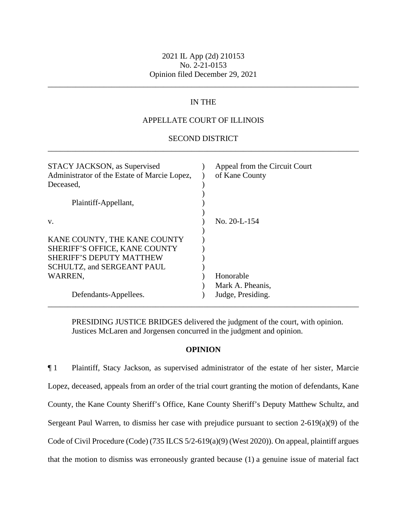## 2021 IL App (2d) 210153 No. 2-21-0153 Opinion filed December 29, 2021

\_\_\_\_\_\_\_\_\_\_\_\_\_\_\_\_\_\_\_\_\_\_\_\_\_\_\_\_\_\_\_\_\_\_\_\_\_\_\_\_\_\_\_\_\_\_\_\_\_\_\_\_\_\_\_\_\_\_\_\_\_\_\_\_\_\_\_\_\_\_\_\_\_\_\_\_\_\_

# IN THE

# APPELLATE COURT OF ILLINOIS

## \_\_\_\_\_\_\_\_\_\_\_\_\_\_\_\_\_\_\_\_\_\_\_\_\_\_\_\_\_\_\_\_\_\_\_\_\_\_\_\_\_\_\_\_\_\_\_\_\_\_\_\_\_\_\_\_\_\_\_\_\_\_\_\_\_\_\_\_\_\_\_\_\_\_\_\_\_\_ SECOND DISTRICT

| STACY JACKSON, as Supervised<br>Administrator of the Estate of Marcie Lopez,<br>Deceased,                                             | Appeal from the Circuit Court<br>of Kane County |
|---------------------------------------------------------------------------------------------------------------------------------------|-------------------------------------------------|
| Plaintiff-Appellant,                                                                                                                  |                                                 |
| V.                                                                                                                                    | $\rm{No.}$ 20-L-154                             |
| KANE COUNTY, THE KANE COUNTY<br>SHERIFF'S OFFICE, KANE COUNTY<br><b>SHERIFF'S DEPUTY MATTHEW</b><br><b>SCHULTZ, and SERGEANT PAUL</b> |                                                 |
| WARREN,                                                                                                                               | Honorable                                       |
| Defendants-Appellees.                                                                                                                 | Mark A. Pheanis,<br>Judge, Presiding.           |

PRESIDING JUSTICE BRIDGES delivered the judgment of the court, with opinion. Justices McLaren and Jorgensen concurred in the judgment and opinion.

### **OPINION**

 that the motion to dismiss was erroneously granted because (1) a genuine issue of material fact ¶ 1 Plaintiff, Stacy Jackson, as supervised administrator of the estate of her sister, Marcie Lopez, deceased, appeals from an order of the trial court granting the motion of defendants, Kane County, the Kane County Sheriff's Office, Kane County Sheriff's Deputy Matthew Schultz, and Sergeant Paul Warren, to dismiss her case with prejudice pursuant to section 2-619(a)(9) of the Code of Civil Procedure (Code) (735 ILCS 5/2-619(a)(9) (West 2020)). On appeal, plaintiff argues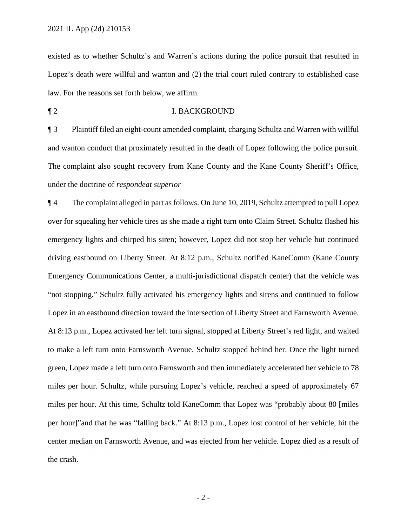law. For the reasons set forth below, we affirm. existed as to whether Schultz's and Warren's actions during the police pursuit that resulted in Lopez's death were willful and wanton and (2) the trial court ruled contrary to established case

## ¶ 2 I. BACKGROUND

¶ 3 Plaintiff filed an eight-count amended complaint, charging Schultz and Warren with willful and wanton conduct that proximately resulted in the death of Lopez following the police pursuit. The complaint also sought recovery from Kane County and the Kane County Sheriff's Office, under the doctrine of *respondeat superior* 

 per hour]"and that he was "falling back." At 8:13 p.m., Lopez lost control of her vehicle, hit the ¶ 4 The complaint alleged in part as follows. On June 10, 2019, Schultz attempted to pull Lopez over for squealing her vehicle tires as she made a right turn onto Claim Street. Schultz flashed his emergency lights and chirped his siren; however, Lopez did not stop her vehicle but continued driving eastbound on Liberty Street. At 8:12 p.m., Schultz notified KaneComm (Kane County Emergency Communications Center, a multi-jurisdictional dispatch center) that the vehicle was "not stopping." Schultz fully activated his emergency lights and sirens and continued to follow Lopez in an eastbound direction toward the intersection of Liberty Street and Farnsworth Avenue. At 8:13 p.m., Lopez activated her left turn signal, stopped at Liberty Street's red light, and waited to make a left turn onto Farnsworth Avenue. Schultz stopped behind her. Once the light turned green, Lopez made a left turn onto Farnsworth and then immediately accelerated her vehicle to 78 miles per hour. Schultz, while pursuing Lopez's vehicle, reached a speed of approximately 67 miles per hour. At this time, Schultz told KaneComm that Lopez was "probably about 80 [miles center median on Farnsworth Avenue, and was ejected from her vehicle. Lopez died as a result of the crash.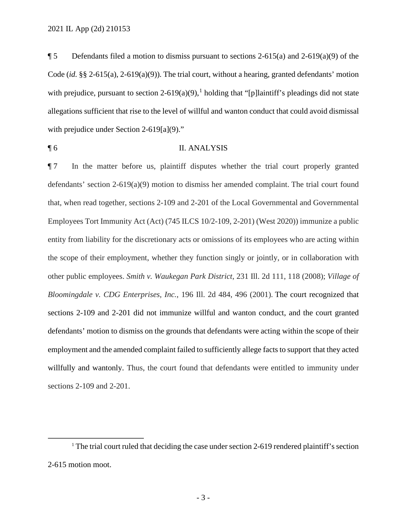$\P 5$  Defendants filed a motion to dismiss pursuant to sections 2-615(a) and 2-619(a)(9) of the Code (*id.* §§ 2-615(a), 2-619(a)(9)). The trial court, without a hearing, granted defendants' motion with prejudice, pursuant to section 2-619(a)(9),<sup>1</sup> holding that "[p]laintiff's pleadings did not state allegations sufficient that rise to the level of willful and wanton conduct that could avoid dismissal with prejudice under Section 2-619[a](9)."

¶ 6 II. ANALYSIS

 that, when read together, sections 2-109 and 2-201 of the Local Governmental and Governmental ¶ 7 In the matter before us, plaintiff disputes whether the trial court properly granted defendants' section 2-619(a)(9) motion to dismiss her amended complaint. The trial court found Employees Tort Immunity Act (Act) (745 ILCS 10/2-109, 2-201) (West 2020)) immunize a public entity from liability for the discretionary acts or omissions of its employees who are acting within the scope of their employment, whether they function singly or jointly, or in collaboration with other public employees. *Smith v. Waukegan Park District*, 231 Ill. 2d 111, 118 (2008); *Village of Bloomingdale v. CDG Enterprises, Inc.*, 196 Ill. 2d 484, 496 (2001). The court recognized that sections 2-109 and 2-201 did not immunize willful and wanton conduct, and the court granted defendants' motion to dismiss on the grounds that defendants were acting within the scope of their employment and the amended complaint failed to sufficiently allege facts to support that they acted willfully and wantonly. Thus, the court found that defendants were entitled to immunity under sections 2-109 and 2-201.

<sup>&</sup>lt;sup>1</sup> The trial court ruled that deciding the case under section 2-619 rendered plaintiff's section 2-615 motion moot.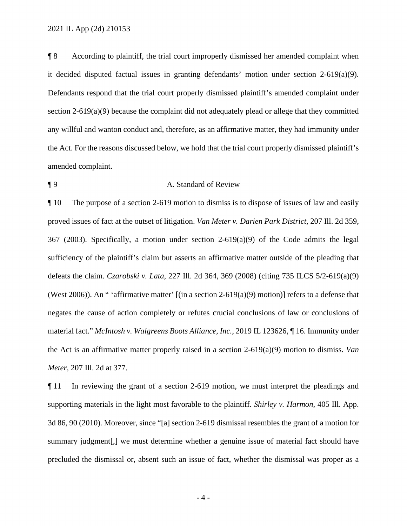any willful and wanton conduct and, therefore, as an affirmative matter, they had immunity under ¶ 8 According to plaintiff, the trial court improperly dismissed her amended complaint when it decided disputed factual issues in granting defendants' motion under section 2-619(a)(9). Defendants respond that the trial court properly dismissed plaintiff's amended complaint under section 2-619(a)(9) because the complaint did not adequately plead or allege that they committed the Act. For the reasons discussed below, we hold that the trial court properly dismissed plaintiff's amended complaint.

## ¶ 9 A. Standard of Review

 defeats the claim. *Czarobski v. Lata*, 227 Ill. 2d 364, 369 (2008) (citing 735 ILCS 5/2-619(a)(9) ¶ 10 The purpose of a section 2-619 motion to dismiss is to dispose of issues of law and easily proved issues of fact at the outset of litigation. *Van Meter v. Darien Park District*, 207 Ill. 2d 359, 367 (2003). Specifically, a motion under section 2-619(a)(9) of the Code admits the legal sufficiency of the plaintiff's claim but asserts an affirmative matter outside of the pleading that (West 2006)). An " 'affirmative matter'  $[(\text{in a section 2-619(a)(9) motion})]$  refers to a defense that negates the cause of action completely or refutes crucial conclusions of law or conclusions of material fact." *McIntosh v. Walgreens Boots Alliance, Inc.*, 2019 IL 123626, ¶ 16. Immunity under the Act is an affirmative matter properly raised in a section 2-619(a)(9) motion to dismiss. *Van Meter*, 207 Ill. 2d at 377.

 3d 86, 90 (2010). Moreover, since "[a] section 2-619 dismissal resembles the grant of a motion for precluded the dismissal or, absent such an issue of fact, whether the dismissal was proper as a ¶ 11 In reviewing the grant of a section 2-619 motion, we must interpret the pleadings and supporting materials in the light most favorable to the plaintiff. *Shirley v. Harmon*, 405 Ill. App. summary judgment[,] we must determine whether a genuine issue of material fact should have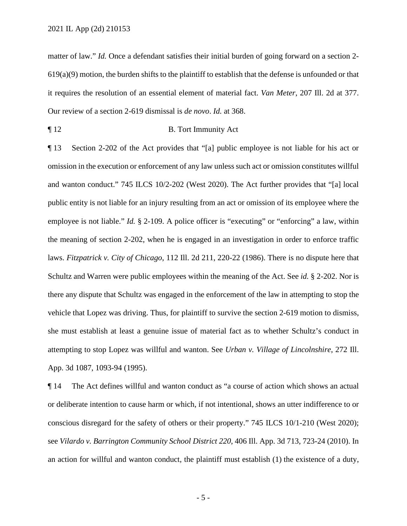matter of law." *Id.* Once a defendant satisfies their initial burden of going forward on a section 2-  $619(a)(9)$  motion, the burden shifts to the plaintiff to establish that the defense is unfounded or that it requires the resolution of an essential element of material fact. *Van Meter*, 207 Ill. 2d at 377. Our review of a section 2-619 dismissal is *de novo*. *Id.* at 368.

¶ 12 B. Tort Immunity Act

employee is not liable." *Id.* § 2-109. A police officer is "executing" or "enforcing" a law, within ¶ 13 Section 2-202 of the Act provides that "[a] public employee is not liable for his act or omission in the execution or enforcement of any law unless such act or omission constitutes willful and wanton conduct." 745 ILCS 10/2-202 (West 2020). The Act further provides that "[a] local public entity is not liable for an injury resulting from an act or omission of its employee where the the meaning of section 2-202, when he is engaged in an investigation in order to enforce traffic laws. *Fitzpatrick v. City of Chicago*, 112 Ill. 2d 211, 220-22 (1986). There is no dispute here that Schultz and Warren were public employees within the meaning of the Act. See *id.* § 2-202. Nor is there any dispute that Schultz was engaged in the enforcement of the law in attempting to stop the vehicle that Lopez was driving. Thus, for plaintiff to survive the section 2-619 motion to dismiss, she must establish at least a genuine issue of material fact as to whether Schultz's conduct in attempting to stop Lopez was willful and wanton. See *Urban v. Village of Lincolnshire*, 272 Ill. App. 3d 1087, 1093-94 (1995).

 ¶ 14 The Act defines willful and wanton conduct as "a course of action which shows an actual an action for willful and wanton conduct, the plaintiff must establish (1) the existence of a duty, or deliberate intention to cause harm or which, if not intentional, shows an utter indifference to or conscious disregard for the safety of others or their property." 745 ILCS 10/1-210 (West 2020); see *Vilardo v. Barrington Community School District 220*, 406 Ill. App. 3d 713, 723-24 (2010). In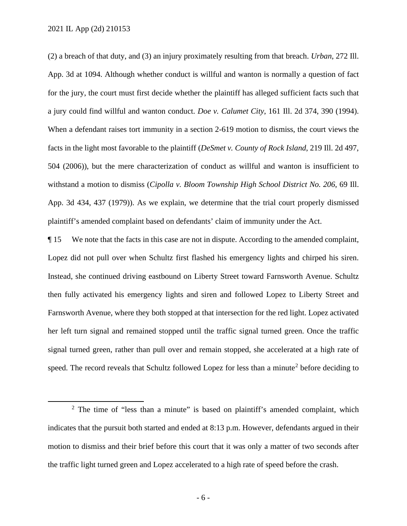504 (2006)), but the mere characterization of conduct as willful and wanton is insufficient to (2) a breach of that duty, and (3) an injury proximately resulting from that breach. *Urban*, 272 Ill. App. 3d at 1094. Although whether conduct is willful and wanton is normally a question of fact for the jury, the court must first decide whether the plaintiff has alleged sufficient facts such that a jury could find willful and wanton conduct. *Doe v. Calumet City*, 161 Ill. 2d 374, 390 (1994). When a defendant raises tort immunity in a section 2-619 motion to dismiss, the court views the facts in the light most favorable to the plaintiff (*DeSmet v. County of Rock Island*, 219 Ill. 2d 497, withstand a motion to dismiss (*Cipolla v. Bloom Township High School District No. 206*, 69 Ill. App. 3d 434, 437 (1979)). As we explain, we determine that the trial court properly dismissed plaintiff's amended complaint based on defendants' claim of immunity under the Act.

 Farnsworth Avenue, where they both stopped at that intersection for the red light. Lopez activated ¶ 15 We note that the facts in this case are not in dispute. According to the amended complaint, Lopez did not pull over when Schultz first flashed his emergency lights and chirped his siren. Instead, she continued driving eastbound on Liberty Street toward Farnsworth Avenue. Schultz then fully activated his emergency lights and siren and followed Lopez to Liberty Street and her left turn signal and remained stopped until the traffic signal turned green. Once the traffic signal turned green, rather than pull over and remain stopped, she accelerated at a high rate of speed. The record reveals that Schultz followed Lopez for less than a minute<sup>2</sup> before deciding to

 $2$  The time of "less than a minute" is based on plaintiff's amended complaint, which motion to dismiss and their brief before this court that it was only a matter of two seconds after indicates that the pursuit both started and ended at 8:13 p.m. However, defendants argued in their the traffic light turned green and Lopez accelerated to a high rate of speed before the crash.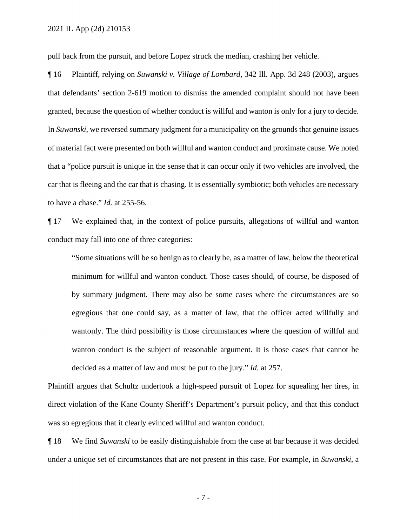pull back from the pursuit, and before Lopez struck the median, crashing her vehicle.

 car that is fleeing and the car that is chasing. It is essentially symbiotic; both vehicles are necessary to have a chase." *Id.* at 255-56. ¶ 16 Plaintiff, relying on *Suwanski v. Village of Lombard*, 342 Ill. App. 3d 248 (2003), argues that defendants' section 2-619 motion to dismiss the amended complaint should not have been granted, because the question of whether conduct is willful and wanton is only for a jury to decide. In *Suwanski*, we reversed summary judgment for a municipality on the grounds that genuine issues of material fact were presented on both willful and wanton conduct and proximate cause. We noted that a "police pursuit is unique in the sense that it can occur only if two vehicles are involved, the

 conduct may fall into one of three categories: ¶ 17 We explained that, in the context of police pursuits, allegations of willful and wanton

 decided as a matter of law and must be put to the jury." *Id.* at 257. "Some situations will be so benign as to clearly be, as a matter of law, below the theoretical minimum for willful and wanton conduct. Those cases should, of course, be disposed of by summary judgment. There may also be some cases where the circumstances are so egregious that one could say, as a matter of law, that the officer acted willfully and wantonly. The third possibility is those circumstances where the question of willful and wanton conduct is the subject of reasonable argument. It is those cases that cannot be

Plaintiff argues that Schultz undertook a high-speed pursuit of Lopez for squealing her tires, in direct violation of the Kane County Sheriff's Department's pursuit policy, and that this conduct was so egregious that it clearly evinced willful and wanton conduct.

¶ 18 We find *Suwanski* to be easily distinguishable from the case at bar because it was decided under a unique set of circumstances that are not present in this case. For example, in *Suwanski*, a

- 7 -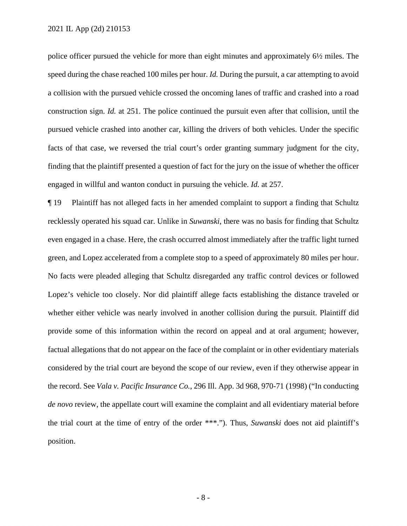police officer pursued the vehicle for more than eight minutes and approximately 6½ miles. The speed during the chase reached 100 miles per hour. *Id.* During the pursuit, a car attempting to avoid a collision with the pursued vehicle crossed the oncoming lanes of traffic and crashed into a road construction sign. *Id.* at 251. The police continued the pursuit even after that collision, until the pursued vehicle crashed into another car, killing the drivers of both vehicles. Under the specific facts of that case, we reversed the trial court's order granting summary judgment for the city, finding that the plaintiff presented a question of fact for the jury on the issue of whether the officer engaged in willful and wanton conduct in pursuing the vehicle. *Id.* at 257.

 even engaged in a chase. Here, the crash occurred almost immediately after the traffic light turned No facts were pleaded alleging that Schultz disregarded any traffic control devices or followed whether either vehicle was nearly involved in another collision during the pursuit. Plaintiff did provide some of this information within the record on appeal and at oral argument; however, factual allegations that do not appear on the face of the complaint or in other evidentiary materials ¶ 19 Plaintiff has not alleged facts in her amended complaint to support a finding that Schultz recklessly operated his squad car. Unlike in *Suwanski*, there was no basis for finding that Schultz green, and Lopez accelerated from a complete stop to a speed of approximately 80 miles per hour. Lopez's vehicle too closely. Nor did plaintiff allege facts establishing the distance traveled or considered by the trial court are beyond the scope of our review, even if they otherwise appear in the record. See *Vala v. Pacific Insurance Co.*, 296 Ill. App. 3d 968, 970-71 (1998) ("In conducting *de novo* review, the appellate court will examine the complaint and all evidentiary material before the trial court at the time of entry of the order \*\*\*."). Thus, *Suwanski* does not aid plaintiff's position.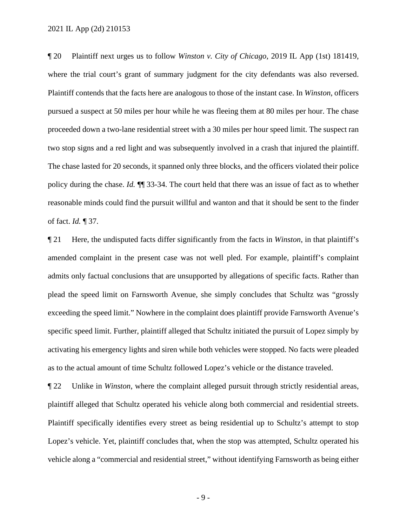Plaintiff contends that the facts here are analogous to those of the instant case. In *Winston*, officers proceeded down a two-lane residential street with a 30 miles per hour speed limit. The suspect ran two stop signs and a red light and was subsequently involved in a crash that injured the plaintiff. reasonable minds could find the pursuit willful and wanton and that it should be sent to the finder of fact. *Id.* ¶ 37. ¶ 20 Plaintiff next urges us to follow *Winston v. City of Chicago*, 2019 IL App (1st) 181419, where the trial court's grant of summary judgment for the city defendants was also reversed. pursued a suspect at 50 miles per hour while he was fleeing them at 80 miles per hour. The chase The chase lasted for 20 seconds, it spanned only three blocks, and the officers violated their police policy during the chase. *Id.* ¶¶ 33-34. The court held that there was an issue of fact as to whether

¶ 21 Here, the undisputed facts differ significantly from the facts in *Winston*, in that plaintiff's amended complaint in the present case was not well pled. For example, plaintiff's complaint admits only factual conclusions that are unsupported by allegations of specific facts. Rather than plead the speed limit on Farnsworth Avenue, she simply concludes that Schultz was "grossly exceeding the speed limit." Nowhere in the complaint does plaintiff provide Farnsworth Avenue's specific speed limit. Further, plaintiff alleged that Schultz initiated the pursuit of Lopez simply by activating his emergency lights and siren while both vehicles were stopped. No facts were pleaded as to the actual amount of time Schultz followed Lopez's vehicle or the distance traveled.

 Lopez's vehicle. Yet, plaintiff concludes that, when the stop was attempted, Schultz operated his vehicle along a "commercial and residential street," without identifying Farnsworth as being either ¶ 22 Unlike in *Winston*, where the complaint alleged pursuit through strictly residential areas, plaintiff alleged that Schultz operated his vehicle along both commercial and residential streets. Plaintiff specifically identifies every street as being residential up to Schultz's attempt to stop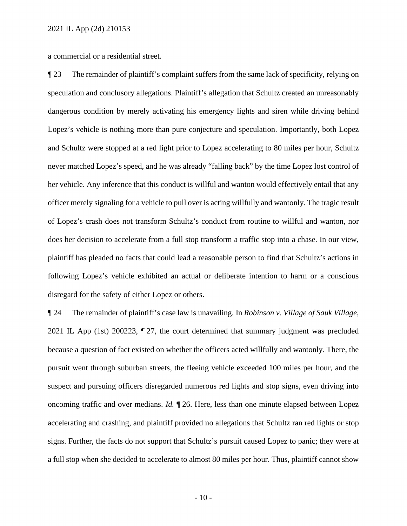a commercial or a residential street.

 Lopez's vehicle is nothing more than pure conjecture and speculation. Importantly, both Lopez plaintiff has pleaded no facts that could lead a reasonable person to find that Schultz's actions in following Lopez's vehicle exhibited an actual or deliberate intention to harm or a conscious ¶ 23 The remainder of plaintiff's complaint suffers from the same lack of specificity, relying on speculation and conclusory allegations. Plaintiff's allegation that Schultz created an unreasonably dangerous condition by merely activating his emergency lights and siren while driving behind and Schultz were stopped at a red light prior to Lopez accelerating to 80 miles per hour, Schultz never matched Lopez's speed, and he was already "falling back" by the time Lopez lost control of her vehicle. Any inference that this conduct is willful and wanton would effectively entail that any officer merely signaling for a vehicle to pull over is acting willfully and wantonly. The tragic result of Lopez's crash does not transform Schultz's conduct from routine to willful and wanton, nor does her decision to accelerate from a full stop transform a traffic stop into a chase. In our view, disregard for the safety of either Lopez or others.

 pursuit went through suburban streets, the fleeing vehicle exceeded 100 miles per hour, and the accelerating and crashing, and plaintiff provided no allegations that Schultz ran red lights or stop ¶ 24 The remainder of plaintiff's case law is unavailing. In *Robinson v. Village of Sauk Village*, 2021 IL App (1st) 200223, ¶ 27, the court determined that summary judgment was precluded because a question of fact existed on whether the officers acted willfully and wantonly. There, the suspect and pursuing officers disregarded numerous red lights and stop signs, even driving into oncoming traffic and over medians. *Id.* ¶ 26. Here, less than one minute elapsed between Lopez signs. Further, the facts do not support that Schultz's pursuit caused Lopez to panic; they were at a full stop when she decided to accelerate to almost 80 miles per hour. Thus, plaintiff cannot show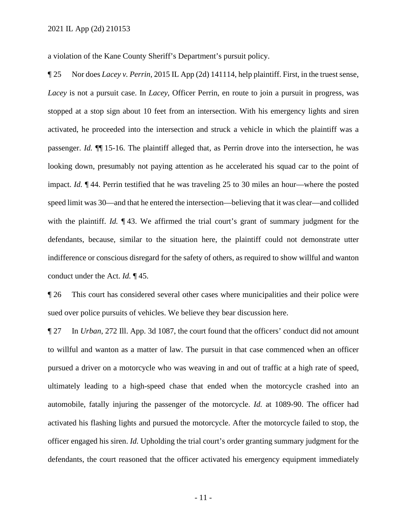a violation of the Kane County Sheriff's Department's pursuit policy.

 activated, he proceeded into the intersection and struck a vehicle in which the plaintiff was a with the plaintiff. *Id.* ¶ 43. We affirmed the trial court's grant of summary judgment for the ¶ 25 Nor does *Lacey v. Perrin*, 2015 IL App (2d) 141114, help plaintiff. First, in the truest sense, *Lacey* is not a pursuit case. In *Lacey*, Officer Perrin, en route to join a pursuit in progress, was stopped at a stop sign about 10 feet from an intersection. With his emergency lights and siren passenger. *Id.* ¶¶ 15-16. The plaintiff alleged that, as Perrin drove into the intersection, he was looking down, presumably not paying attention as he accelerated his squad car to the point of impact. *Id.* ¶ 44. Perrin testified that he was traveling 25 to 30 miles an hour—where the posted speed limit was 30—and that he entered the intersection—believing that it was clear—and collided defendants, because, similar to the situation here, the plaintiff could not demonstrate utter indifference or conscious disregard for the safety of others, as required to show willful and wanton conduct under the Act. *Id.* ¶ 45.

¶ 26 This court has considered several other cases where municipalities and their police were sued over police pursuits of vehicles. We believe they bear discussion here.

 ¶ 27 In *Urban*, 272 Ill. App. 3d 1087, the court found that the officers' conduct did not amount to willful and wanton as a matter of law. The pursuit in that case commenced when an officer officer engaged his siren. *Id.* Upholding the trial court's order granting summary judgment for the pursued a driver on a motorcycle who was weaving in and out of traffic at a high rate of speed, ultimately leading to a high-speed chase that ended when the motorcycle crashed into an automobile, fatally injuring the passenger of the motorcycle. *Id.* at 1089-90. The officer had activated his flashing lights and pursued the motorcycle. After the motorcycle failed to stop, the defendants, the court reasoned that the officer activated his emergency equipment immediately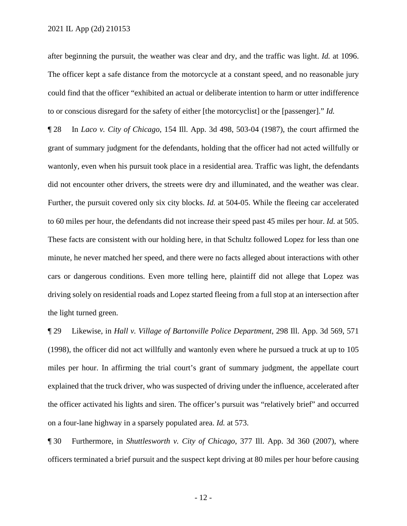after beginning the pursuit, the weather was clear and dry, and the traffic was light. *Id.* at 1096. to or conscious disregard for the safety of either [the motorcyclist] or the [passenger]." *Id.*  The officer kept a safe distance from the motorcycle at a constant speed, and no reasonable jury could find that the officer "exhibited an actual or deliberate intention to harm or utter indifference

 ¶ 28 In *Laco v. City of Chicago*, 154 Ill. App. 3d 498, 503-04 (1987), the court affirmed the did not encounter other drivers, the streets were dry and illuminated, and the weather was clear. These facts are consistent with our holding here, in that Schultz followed Lopez for less than one grant of summary judgment for the defendants, holding that the officer had not acted willfully or wantonly, even when his pursuit took place in a residential area. Traffic was light, the defendants Further, the pursuit covered only six city blocks. *Id.* at 504-05. While the fleeing car accelerated to 60 miles per hour, the defendants did not increase their speed past 45 miles per hour. *Id.* at 505. minute, he never matched her speed, and there were no facts alleged about interactions with other cars or dangerous conditions. Even more telling here, plaintiff did not allege that Lopez was driving solely on residential roads and Lopez started fleeing from a full stop at an intersection after the light turned green.

 on a four-lane highway in a sparsely populated area. *Id.* at 573. ¶ 29 Likewise, in *Hall v. Village of Bartonville Police Department*, 298 Ill. App. 3d 569, 571 (1998), the officer did not act willfully and wantonly even where he pursued a truck at up to 105 miles per hour. In affirming the trial court's grant of summary judgment, the appellate court explained that the truck driver, who was suspected of driving under the influence, accelerated after the officer activated his lights and siren. The officer's pursuit was "relatively brief" and occurred

¶ 30 Furthermore, in *Shuttlesworth v. City of Chicago*, 377 Ill. App. 3d 360 (2007), where officers terminated a brief pursuit and the suspect kept driving at 80 miles per hour before causing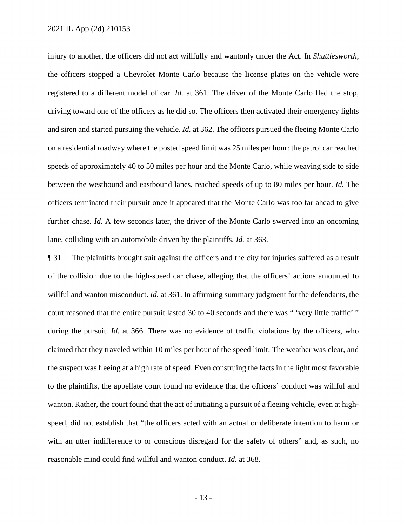speeds of approximately 40 to 50 miles per hour and the Monte Carlo, while weaving side to side further chase. *Id.* A few seconds later, the driver of the Monte Carlo swerved into an oncoming injury to another, the officers did not act willfully and wantonly under the Act. In *Shuttlesworth*, the officers stopped a Chevrolet Monte Carlo because the license plates on the vehicle were registered to a different model of car. *Id.* at 361. The driver of the Monte Carlo fled the stop, driving toward one of the officers as he did so. The officers then activated their emergency lights and siren and started pursuing the vehicle. *Id.* at 362. The officers pursued the fleeing Monte Carlo on a residential roadway where the posted speed limit was 25 miles per hour: the patrol car reached between the westbound and eastbound lanes, reached speeds of up to 80 miles per hour. *Id.* The officers terminated their pursuit once it appeared that the Monte Carlo was too far ahead to give lane, colliding with an automobile driven by the plaintiffs. *Id.* at 363.

 ¶ 31 The plaintiffs brought suit against the officers and the city for injuries suffered as a result willful and wanton misconduct. *Id.* at 361. In affirming summary judgment for the defendants, the of the collision due to the high-speed car chase, alleging that the officers' actions amounted to court reasoned that the entire pursuit lasted 30 to 40 seconds and there was " 'very little traffic' " during the pursuit. *Id.* at 366. There was no evidence of traffic violations by the officers, who claimed that they traveled within 10 miles per hour of the speed limit. The weather was clear, and the suspect was fleeing at a high rate of speed. Even construing the facts in the light most favorable to the plaintiffs, the appellate court found no evidence that the officers' conduct was willful and wanton. Rather, the court found that the act of initiating a pursuit of a fleeing vehicle, even at highspeed, did not establish that "the officers acted with an actual or deliberate intention to harm or with an utter indifference to or conscious disregard for the safety of others" and, as such, no reasonable mind could find willful and wanton conduct. *Id.* at 368.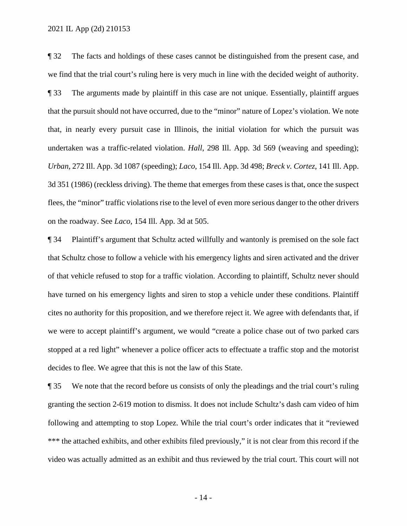¶ 32 The facts and holdings of these cases cannot be distinguished from the present case, and we find that the trial court's ruling here is very much in line with the decided weight of authority. *Urban*, 272 Ill. App. 3d 1087 (speeding); *Laco*, 154 Ill. App. 3d 498; *Breck v. Cortez*, 141 Ill. App. 3d 351 (1986) (reckless driving). The theme that emerges from these cases is that, once the suspect ¶ 33 The arguments made by plaintiff in this case are not unique. Essentially, plaintiff argues that the pursuit should not have occurred, due to the "minor" nature of Lopez's violation. We note that, in nearly every pursuit case in Illinois, the initial violation for which the pursuit was undertaken was a traffic-related violation. *Hall*, 298 Ill. App. 3d 569 (weaving and speeding); flees, the "minor" traffic violations rise to the level of even more serious danger to the other drivers on the roadway. See *Laco*, 154 Ill. App. 3d at 505.

¶ 34 Plaintiff's argument that Schultz acted willfully and wantonly is premised on the sole fact that Schultz chose to follow a vehicle with his emergency lights and siren activated and the driver of that vehicle refused to stop for a traffic violation. According to plaintiff, Schultz never should have turned on his emergency lights and siren to stop a vehicle under these conditions. Plaintiff cites no authority for this proposition, and we therefore reject it. We agree with defendants that, if we were to accept plaintiff's argument, we would "create a police chase out of two parked cars stopped at a red light" whenever a police officer acts to effectuate a traffic stop and the motorist decides to flee. We agree that this is not the law of this State.

**The 35** We note that the record before us consists of only the pleadings and the trial court's ruling \*\*\* the attached exhibits, and other exhibits filed previously," it is not clear from this record if the granting the section 2-619 motion to dismiss. It does not include Schultz's dash cam video of him following and attempting to stop Lopez. While the trial court's order indicates that it "reviewed video was actually admitted as an exhibit and thus reviewed by the trial court. This court will not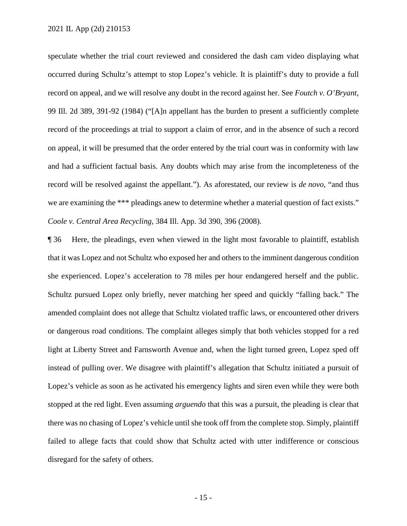occurred during Schultz's attempt to stop Lopez's vehicle. It is plaintiff's duty to provide a full we are examining the \*\*\* pleadings anew to determine whether a material question of fact exists." speculate whether the trial court reviewed and considered the dash cam video displaying what record on appeal, and we will resolve any doubt in the record against her. See *Foutch v. O'Bryant*, 99 Ill. 2d 389, 391-92 (1984) ("[A]n appellant has the burden to present a sufficiently complete record of the proceedings at trial to support a claim of error, and in the absence of such a record on appeal, it will be presumed that the order entered by the trial court was in conformity with law and had a sufficient factual basis. Any doubts which may arise from the incompleteness of the record will be resolved against the appellant."). As aforestated, our review is *de novo*, "and thus *Coole v. Central Area Recycling*, 384 Ill. App. 3d 390, 396 (2008).

 amended complaint does not allege that Schultz violated traffic laws, or encountered other drivers or dangerous road conditions. The complaint alleges simply that both vehicles stopped for a red light at Liberty Street and Farnsworth Avenue and, when the light turned green, Lopez sped off ¶ 36 Here, the pleadings, even when viewed in the light most favorable to plaintiff, establish that it was Lopez and not Schultz who exposed her and others to the imminent dangerous condition she experienced. Lopez's acceleration to 78 miles per hour endangered herself and the public. Schultz pursued Lopez only briefly, never matching her speed and quickly "falling back." The instead of pulling over. We disagree with plaintiff's allegation that Schultz initiated a pursuit of Lopez's vehicle as soon as he activated his emergency lights and siren even while they were both stopped at the red light. Even assuming *arguendo* that this was a pursuit, the pleading is clear that there was no chasing of Lopez's vehicle until she took off from the complete stop. Simply, plaintiff failed to allege facts that could show that Schultz acted with utter indifference or conscious disregard for the safety of others.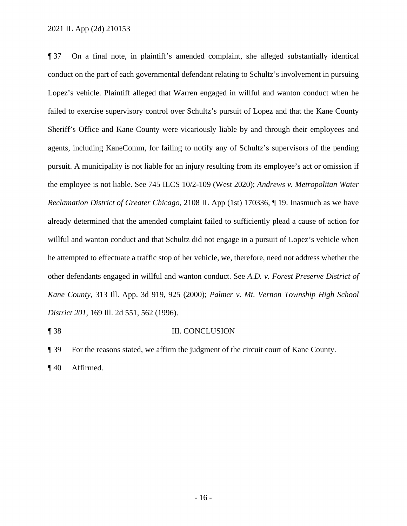Lopez's vehicle. Plaintiff alleged that Warren engaged in willful and wanton conduct when he *Reclamation District of Greater Chicago*, 2108 IL App (1st) 170336, ¶ 19. Inasmuch as we have ¶ 37 On a final note, in plaintiff's amended complaint, she alleged substantially identical conduct on the part of each governmental defendant relating to Schultz's involvement in pursuing failed to exercise supervisory control over Schultz's pursuit of Lopez and that the Kane County Sheriff's Office and Kane County were vicariously liable by and through their employees and agents, including KaneComm, for failing to notify any of Schultz's supervisors of the pending pursuit. A municipality is not liable for an injury resulting from its employee's act or omission if the employee is not liable. See 745 ILCS 10/2-109 (West 2020); *Andrews v. Metropolitan Water*  already determined that the amended complaint failed to sufficiently plead a cause of action for willful and wanton conduct and that Schultz did not engage in a pursuit of Lopez's vehicle when he attempted to effectuate a traffic stop of her vehicle, we, therefore, need not address whether the other defendants engaged in willful and wanton conduct. See *A.D. v. Forest Preserve District of Kane County*, 313 Ill. App. 3d 919, 925 (2000); *Palmer v. Mt. Vernon Township High School District 201*, 169 Ill. 2d 551, 562 (1996).

## ¶ 38 III. CONCLUSION

¶ 39 For the reasons stated, we affirm the judgment of the circuit court of Kane County.

¶ 40 Affirmed.